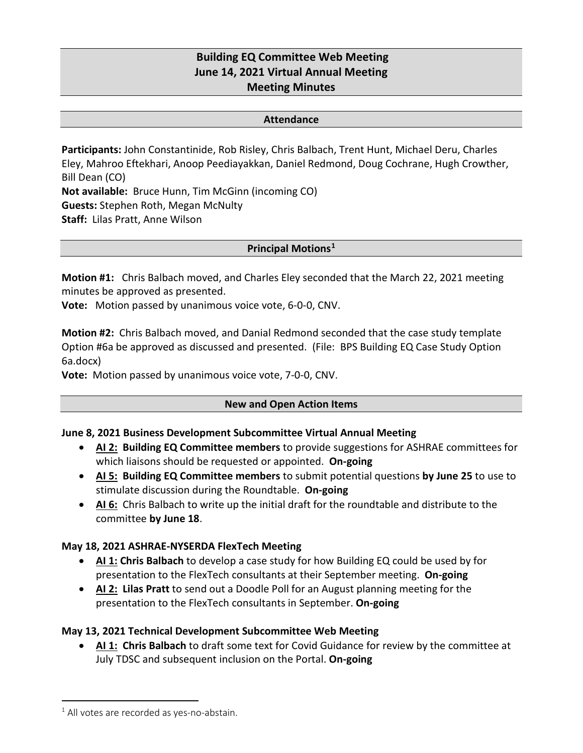# **Building EQ Committee Web Meeting June 14, 2021 Virtual Annual Meeting Meeting Minutes**

#### **Attendance**

**Participants:** John Constantinide, Rob Risley, Chris Balbach, Trent Hunt, Michael Deru, Charles Eley, Mahroo Eftekhari, Anoop Peediayakkan, Daniel Redmond, Doug Cochrane, Hugh Crowther, Bill Dean (CO) **Not available:** Bruce Hunn, Tim McGinn (incoming CO) **Guests:** Stephen Roth, Megan McNulty **Staff:** Lilas Pratt, Anne Wilson

### **Principal Motions[1](#page-0-0)**

**Motion #1:** Chris Balbach moved, and Charles Eley seconded that the March 22, 2021 meeting minutes be approved as presented.

**Vote:** Motion passed by unanimous voice vote, 6-0-0, CNV.

**Motion #2:** Chris Balbach moved, and Danial Redmond seconded that the case study template Option #6a be approved as discussed and presented. (File: BPS Building EQ Case Study Option 6a.docx)

**Vote:** Motion passed by unanimous voice vote, 7-0-0, CNV.

### **New and Open Action Items**

### **June 8, 2021 Business Development Subcommittee Virtual Annual Meeting**

- **AI 2: Building EQ Committee members** to provide suggestions for ASHRAE committees for which liaisons should be requested or appointed. **On-going**
- **AI 5: Building EQ Committee members** to submit potential questions **by June 25** to use to stimulate discussion during the Roundtable. **On-going**
- **AI 6:** Chris Balbach to write up the initial draft for the roundtable and distribute to the committee **by June 18**.

### **May 18, 2021 ASHRAE-NYSERDA FlexTech Meeting**

- **AI 1: Chris Balbach** to develop a case study for how Building EQ could be used by for presentation to the FlexTech consultants at their September meeting. **On-going**
- **AI 2: Lilas Pratt** to send out a Doodle Poll for an August planning meeting for the presentation to the FlexTech consultants in September. **On-going**

# **May 13, 2021 Technical Development Subcommittee Web Meeting**

• **AI 1: Chris Balbach** to draft some text for Covid Guidance for review by the committee at July TDSC and subsequent inclusion on the Portal. **On-going**

<span id="page-0-0"></span> $1$  All votes are recorded as ves-no-abstain.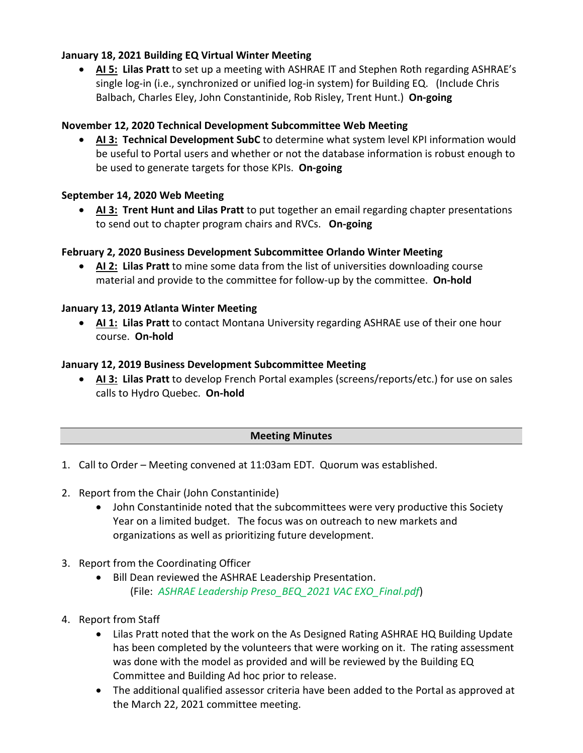# **January 18, 2021 Building EQ Virtual Winter Meeting**

• **AI 5: Lilas Pratt** to set up a meeting with ASHRAE IT and Stephen Roth regarding ASHRAE's single log-in (i.e., synchronized or unified log-in system) for Building EQ. (Include Chris Balbach, Charles Eley, John Constantinide, Rob Risley, Trent Hunt.) **On-going**

# **November 12, 2020 Technical Development Subcommittee Web Meeting**

• **AI 3: Technical Development SubC** to determine what system level KPI information would be useful to Portal users and whether or not the database information is robust enough to be used to generate targets for those KPIs. **On-going**

# **September 14, 2020 Web Meeting**

• **AI 3: Trent Hunt and Lilas Pratt** to put together an email regarding chapter presentations to send out to chapter program chairs and RVCs. **On-going**

### **February 2, 2020 Business Development Subcommittee Orlando Winter Meeting**

• **AI 2: Lilas Pratt** to mine some data from the list of universities downloading course material and provide to the committee for follow-up by the committee. **On-hold**

### **January 13, 2019 Atlanta Winter Meeting**

• **AI 1: Lilas Pratt** to contact Montana University regarding ASHRAE use of their one hour course. **On-hold**

### **January 12, 2019 Business Development Subcommittee Meeting**

• **AI 3: Lilas Pratt** to develop French Portal examples (screens/reports/etc.) for use on sales calls to Hydro Quebec. **On-hold**

### **Meeting Minutes**

- 1. Call to Order Meeting convened at 11:03am EDT. Quorum was established.
- 2. Report from the Chair (John Constantinide)
	- John Constantinide noted that the subcommittees were very productive this Society Year on a limited budget. The focus was on outreach to new markets and organizations as well as prioritizing future development.
- 3. Report from the Coordinating Officer
	- Bill Dean reviewed the ASHRAE Leadership Presentation. (File: *ASHRAE Leadership Preso\_BEQ\_2021 VAC EXO\_Final.pdf*)
- 4. Report from Staff
	- Lilas Pratt noted that the work on the As Designed Rating ASHRAE HQ Building Update has been completed by the volunteers that were working on it. The rating assessment was done with the model as provided and will be reviewed by the Building EQ Committee and Building Ad hoc prior to release.
	- The additional qualified assessor criteria have been added to the Portal as approved at the March 22, 2021 committee meeting.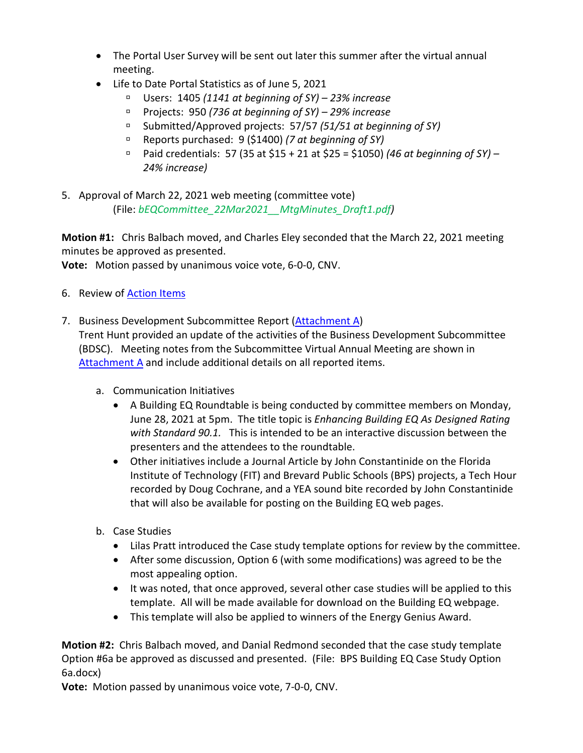- The Portal User Survey will be sent out later this summer after the virtual annual meeting.
- Life to Date Portal Statistics as of June 5, 2021
	- Users: 1405 *(1141 at beginning of SY) – 23% increase*
	- Projects: 950 *(736 at beginning of SY) – 29% increase*
	- Submitted/Approved projects: 57/57 *(51/51 at beginning of SY)*
	- Reports purchased: 9 (\$1400) *(7 at beginning of SY)*
	- Paid credentials: 57 (35 at \$15 + 21 at \$25 = \$1050) *(46 at beginning of SY) – 24% increase)*
- 5. Approval of March 22, 2021 web meeting (committee vote) (File: *bEQCommittee\_22Mar2021\_\_MtgMinutes\_Draft1.pdf)*

**Motion #1:** Chris Balbach moved, and Charles Eley seconded that the March 22, 2021 meeting minutes be approved as presented.

**Vote:** Motion passed by unanimous voice vote, 6-0-0, CNV.

- 6. Review of **Action Items**
- 7. Business Development Subcommittee Report [\(Attachment A\)](#page-6-0)

Trent Hunt provided an update of the activities of the Business Development Subcommittee (BDSC). Meeting notes from the Subcommittee Virtual Annual Meeting are shown in [Attachment A](#page-6-0) and include additional details on all reported items.

- a. Communication Initiatives
	- A Building EQ Roundtable is being conducted by committee members on Monday, June 28, 2021 at 5pm. The title topic is *Enhancing Building EQ As Designed Rating with Standard 90.1.* This is intended to be an interactive discussion between the presenters and the attendees to the roundtable.
	- Other initiatives include a Journal Article by John Constantinide on the Florida Institute of Technology (FIT) and Brevard Public Schools (BPS) projects, a Tech Hour recorded by Doug Cochrane, and a YEA sound bite recorded by John Constantinide that will also be available for posting on the Building EQ web pages.
- b. Case Studies
	- Lilas Pratt introduced the Case study template options for review by the committee.
	- After some discussion, Option 6 (with some modifications) was agreed to be the most appealing option.
	- It was noted, that once approved, several other case studies will be applied to this template. All will be made available for download on the Building EQ webpage.
	- This template will also be applied to winners of the Energy Genius Award.

**Motion #2:** Chris Balbach moved, and Danial Redmond seconded that the case study template Option #6a be approved as discussed and presented. (File: BPS Building EQ Case Study Option 6a.docx)

**Vote:** Motion passed by unanimous voice vote, 7-0-0, CNV.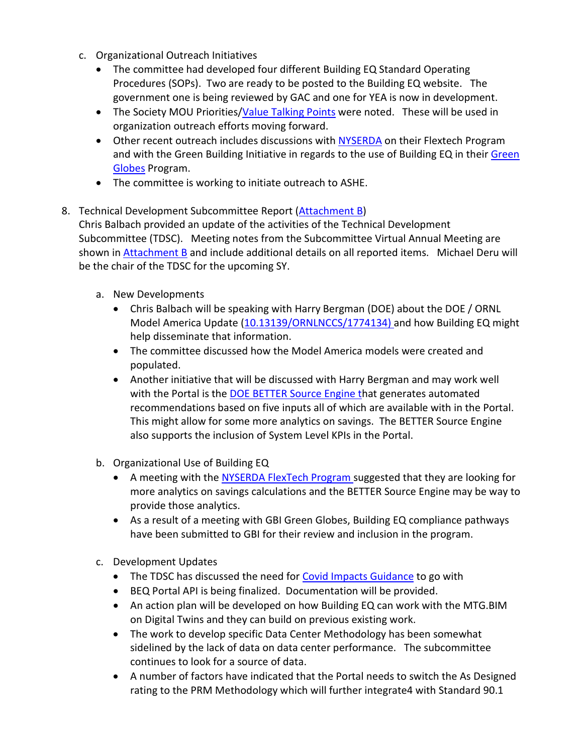- c. Organizational Outreach Initiatives
	- The committee had developed four different Building EQ Standard Operating Procedures (SOPs). Two are ready to be posted to the Building EQ website. The government one is being reviewed by GAC and one for YEA is now in development.
	- The Society MOU Priorities[/Value Talking Points](#page-14-0) were noted. These will be used in organization outreach efforts moving forward.
	- Other recent outreach includes discussions with [NYSERDA](#page-17-0) on their Flextech Program and with the Green Building Initiative in regards to the use of Building EQ in thei[r Green](#page-18-0)  [Globes](#page-18-0) Program.
	- The committee is working to initiate outreach to ASHE.
- 8. Technical Development Subcommittee Report [\(Attachment B\)](#page-9-0) Chris Balbach provided an update of the activities of the Technical Development Subcommittee (TDSC). Meeting notes from the Subcommittee Virtual Annual Meeting are shown in [Attachment B](#page-9-0) and include additional details on all reported items. Michael Deru will be the chair of the TDSC for the upcoming SY.
	- a. New Developments
		- Chris Balbach will be speaking with Harry Bergman (DOE) about the DOE / ORNL Model America Update [\(10.13139/ORNLNCCS/1774134\)](https://doi.ccs.ornl.gov/ui/doi/339) and how Building EQ might help disseminate that information.
		- The committee discussed how the Model America models were created and populated.
		- Another initiative that will be discussed with Harry Bergman and may work well with the Portal is the [DOE BETTER Source Engine](#page-19-0) that generates automated recommendations based on five inputs all of which are available with in the Portal. This might allow for some more analytics on savings. The BETTER Source Engine also supports the inclusion of System Level KPIs in the Portal.
	- b. Organizational Use of Building EQ
		- A meeting with the [NYSERDA FlexTech Program](#page-17-0) suggested that they are looking for more analytics on savings calculations and the BETTER Source Engine may be way to provide those analytics.
		- As a result of a meeting with GBI Green Globes, Building EQ compliance pathways have been submitted to GBI for their review and inclusion in the program.
	- c. Development Updates
		- The TDSC has discussed the need for **Covid Impacts Guidance** to go with
		- BEQ Portal API is being finalized. Documentation will be provided.
		- An action plan will be developed on how Building EQ can work with the MTG.BIM on Digital Twins and they can build on previous existing work.
		- The work to develop specific Data Center Methodology has been somewhat sidelined by the lack of data on data center performance. The subcommittee continues to look for a source of data.
		- A number of factors have indicated that the Portal needs to switch the As Designed rating to the PRM Methodology which will further integrate4 with Standard 90.1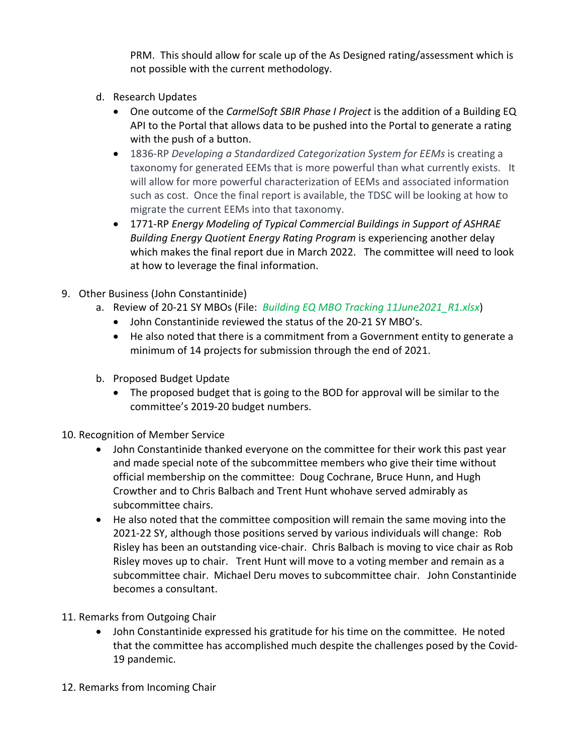PRM. This should allow for scale up of the As Designed rating/assessment which is not possible with the current methodology.

- d. Research Updates
	- One outcome of the *CarmelSoft SBIR Phase I Project* is the addition of a Building EQ API to the Portal that allows data to be pushed into the Portal to generate a rating with the push of a button.
	- 1836-RP *Developing a Standardized Categorization System for EEMs* is creating a taxonomy for generated EEMs that is more powerful than what currently exists. It will allow for more powerful characterization of EEMs and associated information such as cost. Once the final report is available, the TDSC will be looking at how to migrate the current EEMs into that taxonomy.
	- 1771-RP *Energy Modeling of Typical Commercial Buildings in Support of ASHRAE Building Energy Quotient Energy Rating Program* is experiencing another delay which makes the final report due in March 2022. The committee will need to look at how to leverage the final information.
- 9. Other Business (John Constantinide)
	- a. Review of 20-21 SY MBOs (File: *Building EQ MBO Tracking 11June2021\_R1.xlsx*)
		- John Constantinide reviewed the status of the 20-21 SY MBO's.
		- He also noted that there is a commitment from a Government entity to generate a minimum of 14 projects for submission through the end of 2021.
	- b. Proposed Budget Update
		- The proposed budget that is going to the BOD for approval will be similar to the committee's 2019-20 budget numbers.
- 10. Recognition of Member Service
	- John Constantinide thanked everyone on the committee for their work this past year and made special note of the subcommittee members who give their time without official membership on the committee: Doug Cochrane, Bruce Hunn, and Hugh Crowther and to Chris Balbach and Trent Hunt whohave served admirably as subcommittee chairs.
	- He also noted that the committee composition will remain the same moving into the 2021-22 SY, although those positions served by various individuals will change: Rob Risley has been an outstanding vice-chair. Chris Balbach is moving to vice chair as Rob Risley moves up to chair. Trent Hunt will move to a voting member and remain as a subcommittee chair. Michael Deru moves to subcommittee chair. John Constantinide becomes a consultant.
- 11. Remarks from Outgoing Chair
	- John Constantinide expressed his gratitude for his time on the committee. He noted that the committee has accomplished much despite the challenges posed by the Covid-19 pandemic.
- 12. Remarks from Incoming Chair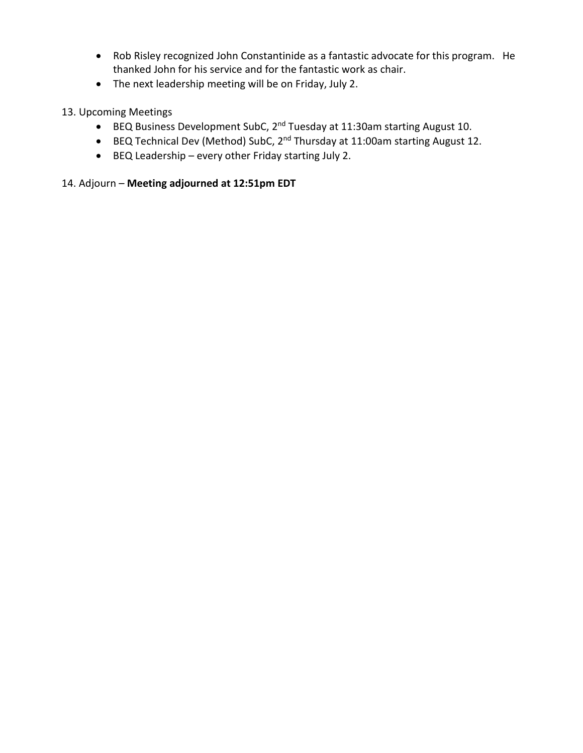- Rob Risley recognized John Constantinide as a fantastic advocate for this program. He thanked John for his service and for the fantastic work as chair.
- The next leadership meeting will be on Friday, July 2.

## 13. Upcoming Meetings

- BEQ Business Development SubC, 2nd Tuesday at 11:30am starting August 10.
- BEQ Technical Dev (Method) SubC, 2nd Thursday at 11:00am starting August 12.
- BEQ Leadership every other Friday starting July 2.

# 14. Adjourn – **Meeting adjourned at 12:51pm EDT**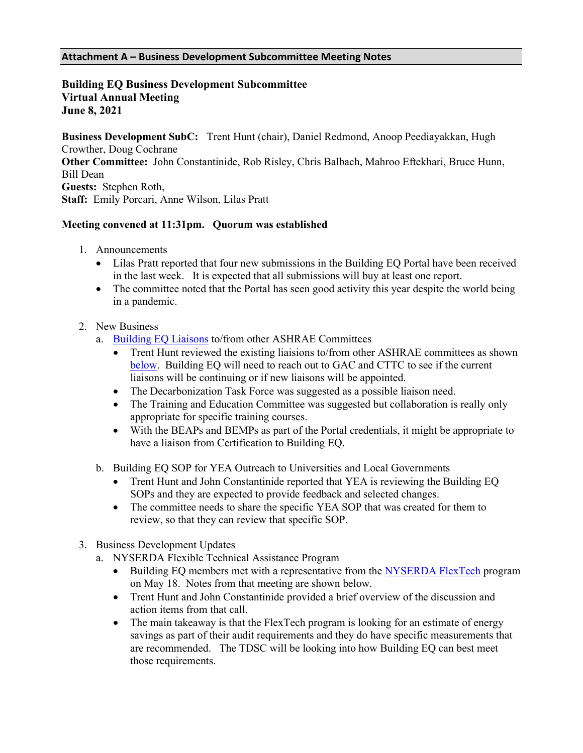#### <span id="page-6-0"></span>**Attachment A – Business Development Subcommittee Meeting Notes**

### **Building EQ Business Development Subcommittee Virtual Annual Meeting June 8, 2021**

**Business Development SubC:** Trent Hunt (chair), Daniel Redmond, Anoop Peediayakkan, Hugh Crowther, Doug Cochrane **Other Committee:** John Constantinide, Rob Risley, Chris Balbach, Mahroo Eftekhari, Bruce Hunn, Bill Dean **Guests:** Stephen Roth, **Staff:** Emily Porcari, Anne Wilson, Lilas Pratt

### **Meeting convened at 11:31pm. Quorum was established**

- 1. Announcements
	- Lilas Pratt reported that four new submissions in the Building EQ Portal have been received in the last week. It is expected that all submissions will buy at least one report.
	- The committee noted that the Portal has seen good activity this year despite the world being in a pandemic.
- 2. New Business
	- a. [Building EQ Liaisons](#page-8-0) to/from other ASHRAE Committees
		- Trent Hunt reviewed the existing liaisions to/from other ASHRAE committees as shown [below.](#page-8-0) Building EQ will need to reach out to GAC and CTTC to see if the current liaisons will be continuing or if new liaisons will be appointed.
		- The Decarbonization Task Force was suggested as a possible liaison need.
		- The Training and Education Committee was suggested but collaboration is really only appropriate for specific training courses.
		- With the BEAPs and BEMPs as part of the Portal credentials, it might be appropriate to have a liaison from Certification to Building EQ.
	- b. Building EQ SOP for YEA Outreach to Universities and Local Governments
		- Trent Hunt and John Constantinide reported that YEA is reviewing the Building EQ SOPs and they are expected to provide feedback and selected changes.
		- The committee needs to share the specific YEA SOP that was created for them to review, so that they can review that specific SOP.
- 3. Business Development Updates
	- a. NYSERDA Flexible Technical Assistance Program
		- Building EQ members met with a representative from the [NYSERDA FlexTech](#page-17-0) program on May 18. Notes from that meeting are shown below.
		- Trent Hunt and John Constantinide provided a brief overview of the discussion and action items from that call.
		- The main takeaway is that the FlexTech program is looking for an estimate of energy savings as part of their audit requirements and they do have specific measurements that are recommended. The TDSC will be looking into how Building EQ can best meet those requirements.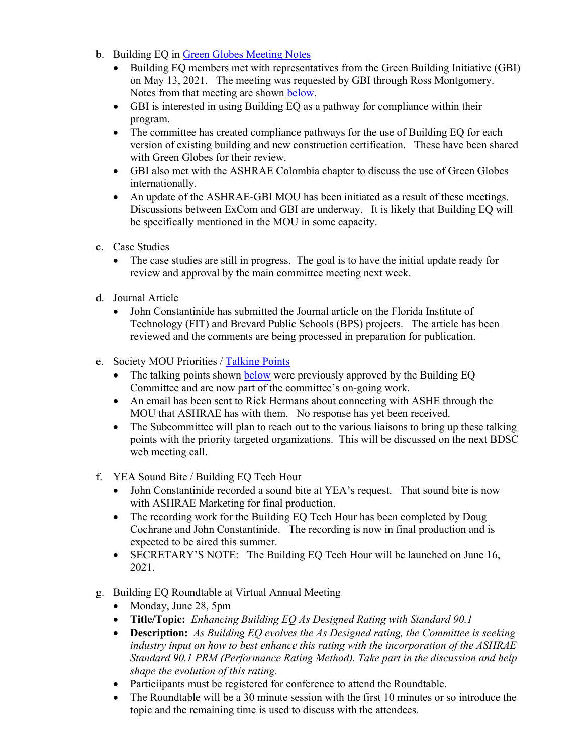- b. Building EQ in [Green Globes](#page-18-0) Meeting Notes
	- Building EQ members met with representatives from the Green Building Initiative (GBI) on May 13, 2021. The meeting was requested by GBI through Ross Montgomery. Notes from that meeting are shown [below.](#page-18-0)
	- GBI is interested in using Building EQ as a pathway for compliance within their program.
	- The committee has created compliance pathways for the use of Building EQ for each version of existing building and new construction certification. These have been shared with Green Globes for their review.
	- GBI also met with the ASHRAE Colombia chapter to discuss the use of Green Globes internationally.
	- An update of the ASHRAE-GBI MOU has been initiated as a result of these meetings. Discussions between ExCom and GBI are underway. It is likely that Building EQ will be specifically mentioned in the MOU in some capacity.
- c. Case Studies
	- The case studies are still in progress. The goal is to have the initial update ready for review and approval by the main committee meeting next week.
- d. Journal Article
	- John Constantinide has submitted the Journal article on the Florida Institute of Technology (FIT) and Brevard Public Schools (BPS) projects. The article has been reviewed and the comments are being processed in preparation for publication.
- e. Society MOU Priorities / [Talking Points](#page-14-0)
	- The talking points shown [below](#page-14-0) were previously approved by the Building EQ Committee and are now part of the committee's on-going work.
	- An email has been sent to Rick Hermans about connecting with ASHE through the MOU that ASHRAE has with them. No response has yet been received.
	- The Subcommittee will plan to reach out to the various liaisons to bring up these talking points with the priority targeted organizations. This will be discussed on the next BDSC web meeting call.
- f. YEA Sound Bite / Building EQ Tech Hour
	- John Constantinide recorded a sound bite at YEA's request. That sound bite is now with ASHRAE Marketing for final production.
	- The recording work for the Building EQ Tech Hour has been completed by Doug Cochrane and John Constantinide. The recording is now in final production and is expected to be aired this summer.
	- SECRETARY'S NOTE: The Building EQ Tech Hour will be launched on June 16, 2021.
- g. Building EQ Roundtable at Virtual Annual Meeting
	- Monday, June 28, 5pm
	- **Title/Topic:** *Enhancing Building EQ As Designed Rating with Standard 90.1*
	- **Description:** *As Building EQ evolves the As Designed rating, the Committee is seeking industry input on how to best enhance this rating with the incorporation of the ASHRAE Standard 90.1 PRM (Performance Rating Method). Take part in the discussion and help shape the evolution of this rating.*
	- Particiipants must be registered for conference to attend the Roundtable.
	- The Roundtable will be a 30 minute session with the first 10 minutes or so introduce the topic and the remaining time is used to discuss with the attendees.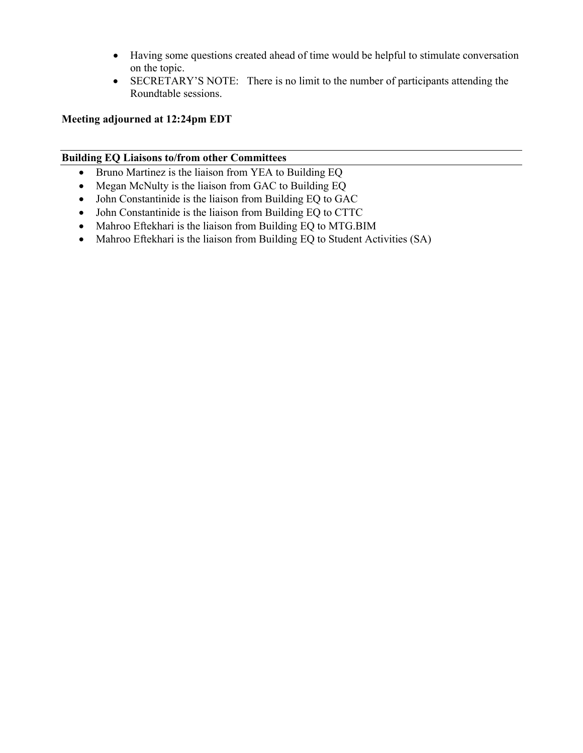- Having some questions created ahead of time would be helpful to stimulate conversation on the topic.
- SECRETARY'S NOTE: There is no limit to the number of participants attending the Roundtable sessions.

### **Meeting adjourned at 12:24pm EDT**

### <span id="page-8-0"></span>**Building EQ Liaisons to/from other Committees**

- Bruno Martinez is the liaison from YEA to Building EQ
- Megan McNulty is the liaison from GAC to Building EQ
- John Constantinide is the liaison from Building EQ to GAC
- John Constantinide is the liaison from Building EQ to CTTC
- Mahroo Eftekhari is the liaison from Building EQ to MTG.BIM
- Mahroo Eftekhari is the liaison from Building EQ to Student Activities (SA)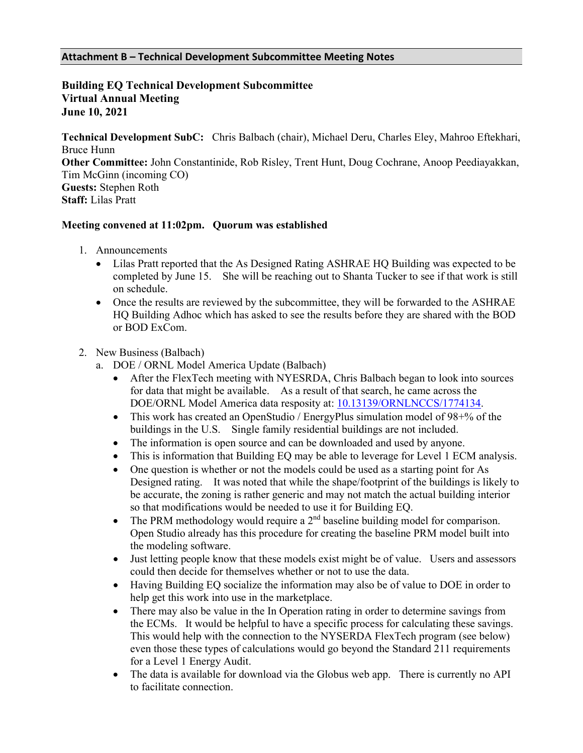#### <span id="page-9-0"></span>**Attachment B – Technical Development Subcommittee Meeting Notes**

### **Building EQ Technical Development Subcommittee Virtual Annual Meeting June 10, 2021**

**Technical Development SubC:** Chris Balbach (chair), Michael Deru, Charles Eley, Mahroo Eftekhari, Bruce Hunn **Other Committee:** John Constantinide, Rob Risley, Trent Hunt, Doug Cochrane, Anoop Peediayakkan, Tim McGinn (incoming CO) **Guests:** Stephen Roth **Staff:** Lilas Pratt

#### **Meeting convened at 11:02pm. Quorum was established**

- 1. Announcements
	- Lilas Pratt reported that the As Designed Rating ASHRAE HQ Building was expected to be completed by June 15. She will be reaching out to Shanta Tucker to see if that work is still on schedule.
	- Once the results are reviewed by the subcommittee, they will be forwarded to the ASHRAE HQ Building Adhoc which has asked to see the results before they are shared with the BOD or BOD ExCom.

#### 2. New Business (Balbach)

- a. DOE / ORNL Model America Update (Balbach)
	- After the FlexTech meeting with NYESRDA, Chris Balbach began to look into sources for data that might be available. As a result of that search, he came across the DOE/ORNL Model America data resposity at: [10.13139/ORNLNCCS/1774134.](https://doi.ccs.ornl.gov/ui/doi/339)
	- This work has created an OpenStudio / EnergyPlus simulation model of 98+% of the buildings in the U.S. Single family residential buildings are not included.
	- The information is open source and can be downloaded and used by anyone.
	- This is information that Building EQ may be able to leverage for Level 1 ECM analysis.
	- One question is whether or not the models could be used as a starting point for As Designed rating. It was noted that while the shape/footprint of the buildings is likely to be accurate, the zoning is rather generic and may not match the actual building interior so that modifications would be needed to use it for Building EQ.
	- The PRM methodology would require a  $2<sup>nd</sup>$  baseline building model for comparison. Open Studio already has this procedure for creating the baseline PRM model built into the modeling software.
	- Just letting people know that these models exist might be of value. Users and assessors could then decide for themselves whether or not to use the data.
	- Having Building EQ socialize the information may also be of value to DOE in order to help get this work into use in the marketplace.
	- There may also be value in the In Operation rating in order to determine savings from the ECMs. It would be helpful to have a specific process for calculating these savings. This would help with the connection to the NYSERDA FlexTech program (see below) even those these types of calculations would go beyond the Standard 211 requirements for a Level 1 Energy Audit.
	- The data is available for download via the Globus web app. There is currently no API to facilitate connection.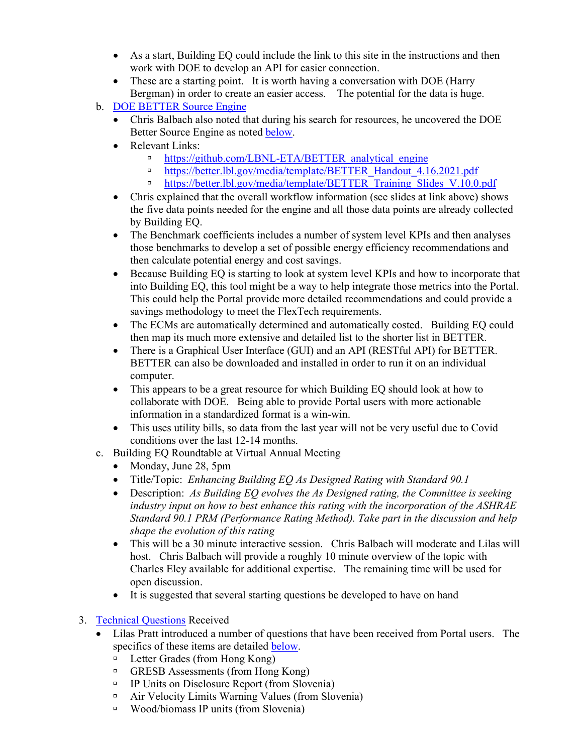- As a start, Building EQ could include the link to this site in the instructions and then work with DOE to develop an API for easier connection.
- These are a starting point. It is worth having a conversation with DOE (Harry Bergman) in order to create an easier access. The potential for the data is huge.
- b. [DOE BETTER Source Engine](#page-19-0)
	- Chris Balbach also noted that during his search for resources, he uncovered the DOE Better Source Engine as noted [below.](file://ashfile1/documents$/lpratt/My%20Documents/ABEL%20Ad-Hoc/Mtg%20Notes/10June2021_bEQTechDevSubC_AM_MtgNotes.docx#BETTER)
	- Relevant Links:
		- □ [https://github.com/LBNL-ETA/BETTER\\_analytical\\_engine](https://github.com/LBNL-ETA/BETTER_analytical_engine)
		- [https://better.lbl.gov/media/template/BETTER\\_Handout\\_4.16.2021.pdf](https://better.lbl.gov/media/template/BETTER_Handout_4.16.2021.pdf)
		- [https://better.lbl.gov/media/template/BETTER\\_Training\\_Slides\\_V.10.0.pdf](https://better.lbl.gov/media/template/BETTER_Training_Slides_V.10.0.pdf)
	- Chris explained that the overall workflow information (see slides at link above) shows the five data points needed for the engine and all those data points are already collected by Building EQ.
	- The Benchmark coefficients includes a number of system level KPIs and then analyses those benchmarks to develop a set of possible energy efficiency recommendations and then calculate potential energy and cost savings.
	- Because Building EQ is starting to look at system level KPIs and how to incorporate that into Building EQ, this tool might be a way to help integrate those metrics into the Portal. This could help the Portal provide more detailed recommendations and could provide a savings methodology to meet the FlexTech requirements.
	- The ECMs are automatically determined and automatically costed. Building EQ could then map its much more extensive and detailed list to the shorter list in BETTER.
	- There is a Graphical User Interface (GUI) and an API (RESTful API) for BETTER. BETTER can also be downloaded and installed in order to run it on an individual computer.
	- This appears to be a great resource for which Building EQ should look at how to collaborate with DOE. Being able to provide Portal users with more actionable information in a standardized format is a win-win.
	- This uses utility bills, so data from the last year will not be very useful due to Covid conditions over the last 12-14 months.
- c. Building EQ Roundtable at Virtual Annual Meeting
	- Monday, June 28, 5pm
	- Title/Topic: *Enhancing Building EQ As Designed Rating with Standard 90.1*
	- Description: *As Building EQ evolves the As Designed rating, the Committee is seeking industry input on how to best enhance this rating with the incorporation of the ASHRAE Standard 90.1 PRM (Performance Rating Method). Take part in the discussion and help shape the evolution of this rating*
	- This will be a 30 minute interactive session. Chris Balbach will moderate and Lilas will host. Chris Balbach will provide a roughly 10 minute overview of the topic with Charles Eley available for additional expertise. The remaining time will be used for open discussion.
	- It is suggested that several starting questions be developed to have on hand
- 3. [Technical Questions](#page-20-0) Received
	- Lilas Pratt introduced a number of questions that have been received from Portal users. The specifics of these items are detailed [below.](#page-20-0)
		- □ Letter Grades (from Hong Kong)
		- GRESB Assessments (from Hong Kong)
		- <sup>Ip</sup> IP Units on Disclosure Report (from Slovenia)
		- Air Velocity Limits Warning Values (from Slovenia)
		- Wood/biomass IP units (from Slovenia)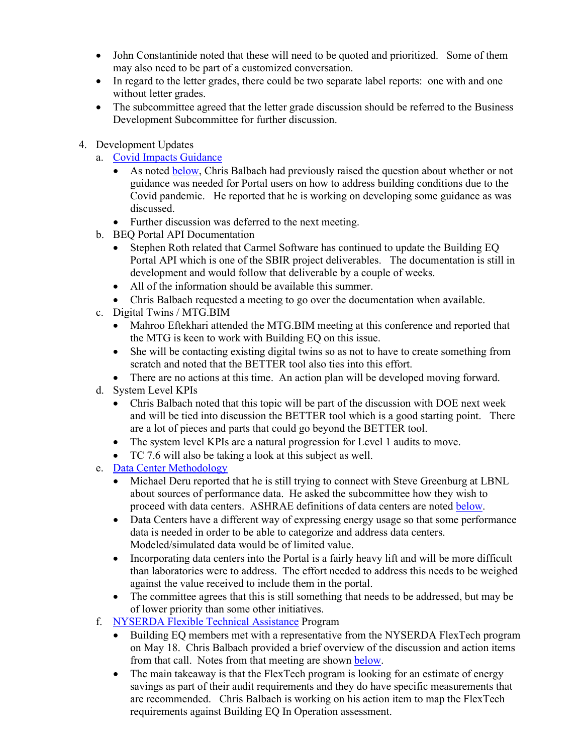- John Constantinide noted that these will need to be quoted and prioritized. Some of them may also need to be part of a customized conversation.
- In regard to the letter grades, there could be two separate label reports: one with and one without letter grades.
- The subcommittee agreed that the letter grade discussion should be referred to the Business Development Subcommittee for further discussion.
- 4. Development Updates
	- a. [Covid Impacts Guidance](#page-19-1)
		- As noted [below,](#page-19-1) Chris Balbach had previously raised the question about whether or not guidance was needed for Portal users on how to address building conditions due to the Covid pandemic. He reported that he is working on developing some guidance as was discussed.
		- Further discussion was deferred to the next meeting.
	- b. BEQ Portal API Documentation
		- Stephen Roth related that Carmel Software has continued to update the Building EQ Portal API which is one of the SBIR project deliverables. The documentation is still in development and would follow that deliverable by a couple of weeks.
		- All of the information should be available this summer.
		- Chris Balbach requested a meeting to go over the documentation when available.
	- c. Digital Twins / MTG.BIM
		- Mahroo Eftekhari attended the MTG.BIM meeting at this conference and reported that the MTG is keen to work with Building EQ on this issue.
		- She will be contacting existing digital twins so as not to have to create something from scratch and noted that the BETTER tool also ties into this effort.
		- There are no actions at this time. An action plan will be developed moving forward.
	- d. System Level KPIs
		- Chris Balbach noted that this topic will be part of the discussion with DOE next week and will be tied into discussion the BETTER tool which is a good starting point. There are a lot of pieces and parts that could go beyond the BETTER tool.
		- The system level KPIs are a natural progression for Level 1 audits to move.
		- TC 7.6 will also be taking a look at this subject as well.
	- e. [Data Center Methodology](#page-13-0)
		- Michael Deru reported that he is still trying to connect with Steve Greenburg at LBNL about sources of performance data. He asked the subcommittee how they wish to proceed with data centers. ASHRAE definitions of data centers are noted [below.](#page-13-0)
		- Data Centers have a different way of expressing energy usage so that some performance data is needed in order to be able to categorize and address data centers. Modeled/simulated data would be of limited value.
		- Incorporating data centers into the Portal is a fairly heavy lift and will be more difficult than laboratories were to address. The effort needed to address this needs to be weighed against the value received to include them in the portal.
		- The committee agrees that this is still something that needs to be addressed, but may be of lower priority than some other initiatives.
	- f. [NYSERDA Flexible Technical Assistance](#page-17-0) Program
		- Building EQ members met with a representative from the NYSERDA FlexTech program on May 18. Chris Balbach provided a brief overview of the discussion and action items from that call. Notes from that meeting are shown [below.](#page-17-0)
		- The main takeaway is that the FlexTech program is looking for an estimate of energy savings as part of their audit requirements and they do have specific measurements that are recommended. Chris Balbach is working on his action item to map the FlexTech requirements against Building EQ In Operation assessment.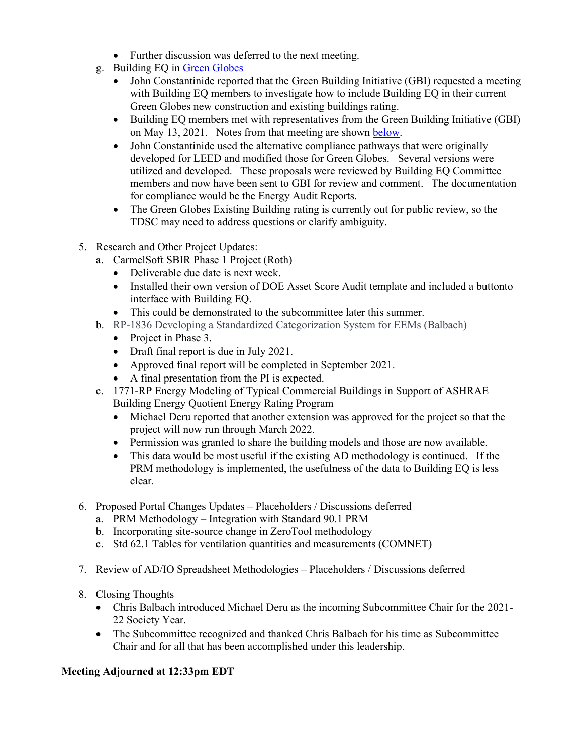- Further discussion was deferred to the next meeting.
- g. Building EQ in [Green Globes](#page-18-0)
	- John Constantinide reported that the Green Building Initiative (GBI) requested a meeting with Building EQ members to investigate how to include Building EQ in their current Green Globes new construction and existing buildings rating.
	- Building EQ members met with representatives from the Green Building Initiative (GBI) on May 13, 2021. Notes from that meeting are shown [below.](#page-18-0)
	- John Constantinide used the alternative compliance pathways that were originally developed for LEED and modified those for Green Globes. Several versions were utilized and developed. These proposals were reviewed by Building EQ Committee members and now have been sent to GBI for review and comment. The documentation for compliance would be the Energy Audit Reports.
	- The Green Globes Existing Building rating is currently out for public review, so the TDSC may need to address questions or clarify ambiguity.
- 5. Research and Other Project Updates:
	- a. CarmelSoft SBIR Phase 1 Project (Roth)
		- Deliverable due date is next week.
		- Installed their own version of DOE Asset Score Audit template and included a buttonto interface with Building EQ.
	- This could be demonstrated to the subcommittee later this summer.
	- b. RP-1836 Developing a Standardized Categorization System for EEMs (Balbach)
		- Project in Phase 3.
		- Draft final report is due in July 2021.
		- Approved final report will be completed in September 2021.
		- A final presentation from the PI is expected.
	- c. 1771-RP Energy Modeling of Typical Commercial Buildings in Support of ASHRAE Building Energy Quotient Energy Rating Program
		- Michael Deru reported that another extension was approved for the project so that the project will now run through March 2022.
		- Permission was granted to share the building models and those are now available.
		- This data would be most useful if the existing AD methodology is continued. If the PRM methodology is implemented, the usefulness of the data to Building EQ is less clear.
- 6. Proposed Portal Changes Updates Placeholders / Discussions deferred
	- a. PRM Methodology Integration with Standard 90.1 PRM
	- b. Incorporating site-source change in ZeroTool methodology
	- c. Std 62.1 Tables for ventilation quantities and measurements (COMNET)
- 7. Review of AD/IO Spreadsheet Methodologies Placeholders / Discussions deferred
- 8. Closing Thoughts
	- Chris Balbach introduced Michael Deru as the incoming Subcommittee Chair for the 2021- 22 Society Year.
	- The Subcommittee recognized and thanked Chris Balbach for his time as Subcommittee Chair and for all that has been accomplished under this leadership.

### **Meeting Adjourned at 12:33pm EDT**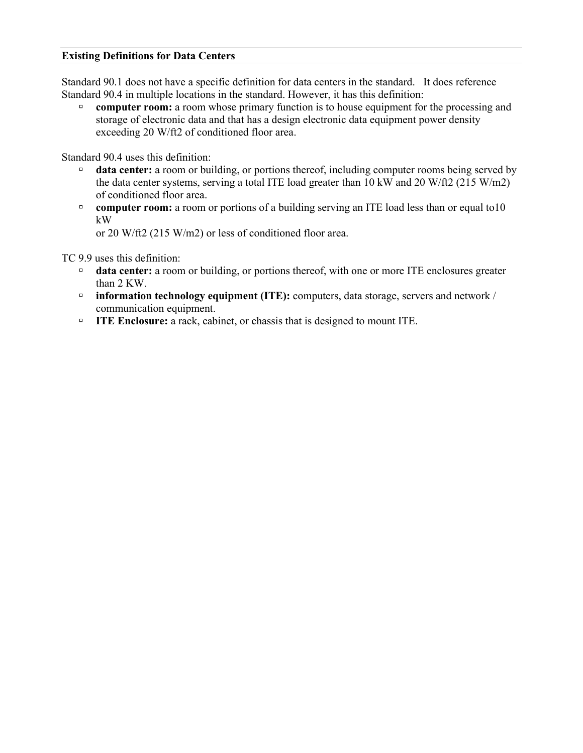#### <span id="page-13-0"></span>**Existing Definitions for Data Centers**

Standard 90.1 does not have a specific definition for data centers in the standard. It does reference Standard 90.4 in multiple locations in the standard. However, it has this definition:

**computer room:** a room whose primary function is to house equipment for the processing and storage of electronic data and that has a design electronic data equipment power density exceeding 20 W/ft2 of conditioned floor area.

Standard 90.4 uses this definition:

- **data center:** a room or building, or portions thereof, including computer rooms being served by the data center systems, serving a total ITE load greater than 10 kW and 20 W/ft2 (215 W/m2) of conditioned floor area.
- **computer room:** a room or portions of a building serving an ITE load less than or equal to10 kW

or 20 W/ft2 (215 W/m2) or less of conditioned floor area.

TC 9.9 uses this definition:

- **data center:** a room or building, or portions thereof, with one or more ITE enclosures greater than 2 KW.
- **information technology equipment (ITE):** computers, data storage, servers and network / communication equipment.
- **ITE Enclosure:** a rack, cabinet, or chassis that is designed to mount ITE.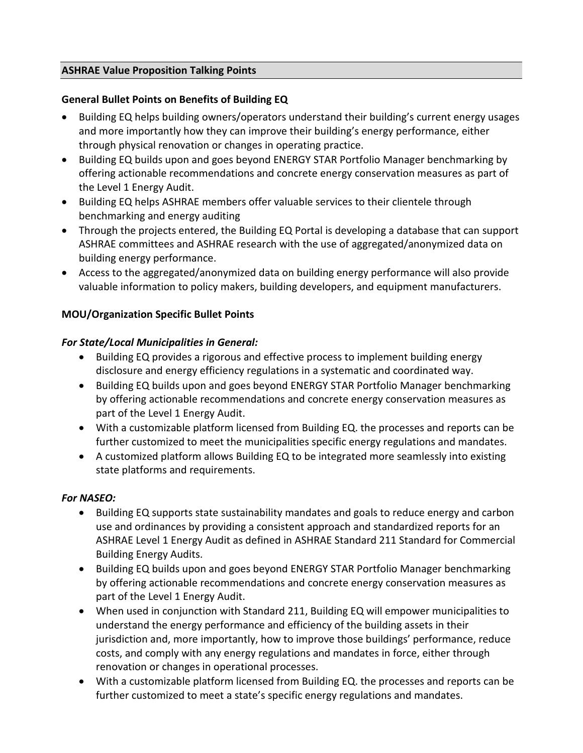## <span id="page-14-0"></span>**ASHRAE Value Proposition Talking Points**

# **General Bullet Points on Benefits of Building EQ**

- Building EQ helps building owners/operators understand their building's current energy usages and more importantly how they can improve their building's energy performance, either through physical renovation or changes in operating practice.
- Building EQ builds upon and goes beyond ENERGY STAR Portfolio Manager benchmarking by offering actionable recommendations and concrete energy conservation measures as part of the Level 1 Energy Audit.
- Building EQ helps ASHRAE members offer valuable services to their clientele through benchmarking and energy auditing
- Through the projects entered, the Building EQ Portal is developing a database that can support ASHRAE committees and ASHRAE research with the use of aggregated/anonymized data on building energy performance.
- Access to the aggregated/anonymized data on building energy performance will also provide valuable information to policy makers, building developers, and equipment manufacturers.

# **MOU/Organization Specific Bullet Points**

# *For State/Local Municipalities in General:*

- Building EQ provides a rigorous and effective process to implement building energy disclosure and energy efficiency regulations in a systematic and coordinated way.
- Building EQ builds upon and goes beyond ENERGY STAR Portfolio Manager benchmarking by offering actionable recommendations and concrete energy conservation measures as part of the Level 1 Energy Audit.
- With a customizable platform licensed from Building EQ. the processes and reports can be further customized to meet the municipalities specific energy regulations and mandates.
- A customized platform allows Building EQ to be integrated more seamlessly into existing state platforms and requirements.

# *For NASEO:*

- Building EQ supports state sustainability mandates and goals to reduce energy and carbon use and ordinances by providing a consistent approach and standardized reports for an ASHRAE Level 1 Energy Audit as defined in ASHRAE Standard 211 Standard for Commercial Building Energy Audits.
- Building EQ builds upon and goes beyond ENERGY STAR Portfolio Manager benchmarking by offering actionable recommendations and concrete energy conservation measures as part of the Level 1 Energy Audit.
- When used in conjunction with Standard 211, Building EQ will empower municipalities to understand the energy performance and efficiency of the building assets in their jurisdiction and, more importantly, how to improve those buildings' performance, reduce costs, and comply with any energy regulations and mandates in force, either through renovation or changes in operational processes.
- With a customizable platform licensed from Building EQ. the processes and reports can be further customized to meet a state's specific energy regulations and mandates.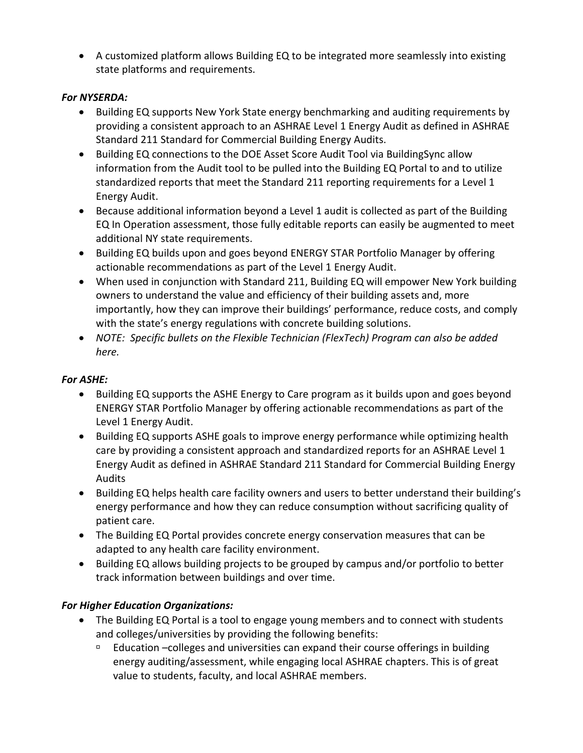• A customized platform allows Building EQ to be integrated more seamlessly into existing state platforms and requirements.

# *For NYSERDA:*

- Building EQ supports New York State energy benchmarking and auditing requirements by providing a consistent approach to an ASHRAE Level 1 Energy Audit as defined in ASHRAE Standard 211 Standard for Commercial Building Energy Audits.
- Building EQ connections to the DOE Asset Score Audit Tool via BuildingSync allow information from the Audit tool to be pulled into the Building EQ Portal to and to utilize standardized reports that meet the Standard 211 reporting requirements for a Level 1 Energy Audit.
- Because additional information beyond a Level 1 audit is collected as part of the Building EQ In Operation assessment, those fully editable reports can easily be augmented to meet additional NY state requirements.
- Building EQ builds upon and goes beyond ENERGY STAR Portfolio Manager by offering actionable recommendations as part of the Level 1 Energy Audit.
- When used in conjunction with Standard 211, Building EQ will empower New York building owners to understand the value and efficiency of their building assets and, more importantly, how they can improve their buildings' performance, reduce costs, and comply with the state's energy regulations with concrete building solutions.
- *NOTE: Specific bullets on the Flexible Technician (FlexTech) Program can also be added here.*

# *For ASHE:*

- Building EQ supports the ASHE Energy to Care program as it builds upon and goes beyond ENERGY STAR Portfolio Manager by offering actionable recommendations as part of the Level 1 Energy Audit.
- Building EQ supports ASHE goals to improve energy performance while optimizing health care by providing a consistent approach and standardized reports for an ASHRAE Level 1 Energy Audit as defined in ASHRAE Standard 211 Standard for Commercial Building Energy Audits
- Building EQ helps health care facility owners and users to better understand their building's energy performance and how they can reduce consumption without sacrificing quality of patient care.
- The Building EQ Portal provides concrete energy conservation measures that can be adapted to any health care facility environment.
- Building EQ allows building projects to be grouped by campus and/or portfolio to better track information between buildings and over time.

# *For Higher Education Organizations:*

- The Building EQ Portal is a tool to engage young members and to connect with students and colleges/universities by providing the following benefits:
	- $E$  Education –colleges and universities can expand their course offerings in building energy auditing/assessment, while engaging local ASHRAE chapters. This is of great value to students, faculty, and local ASHRAE members.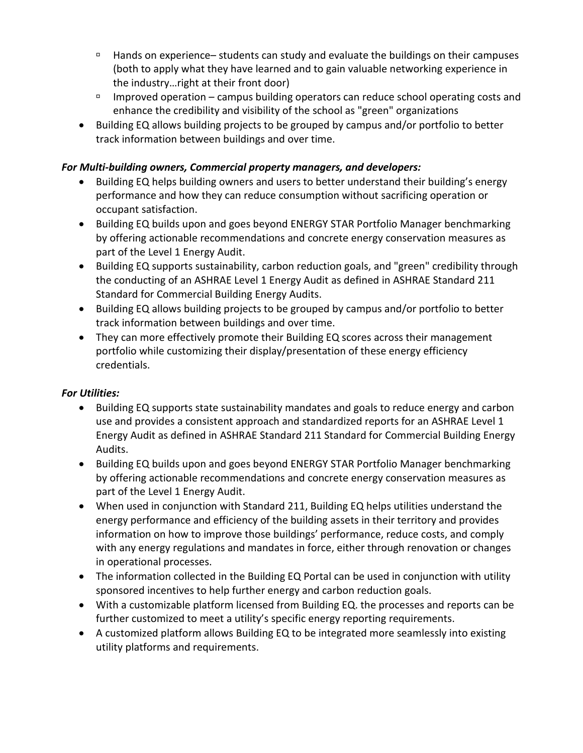- $\Box$  Hands on experience– students can study and evaluate the buildings on their campuses (both to apply what they have learned and to gain valuable networking experience in the industry…right at their front door)
- Improved operation campus building operators can reduce school operating costs and enhance the credibility and visibility of the school as "green" organizations
- Building EQ allows building projects to be grouped by campus and/or portfolio to better track information between buildings and over time.

# *For Multi-building owners, Commercial property managers, and developers:*

- Building EQ helps building owners and users to better understand their building's energy performance and how they can reduce consumption without sacrificing operation or occupant satisfaction.
- Building EQ builds upon and goes beyond ENERGY STAR Portfolio Manager benchmarking by offering actionable recommendations and concrete energy conservation measures as part of the Level 1 Energy Audit.
- Building EQ supports sustainability, carbon reduction goals, and "green" credibility through the conducting of an ASHRAE Level 1 Energy Audit as defined in ASHRAE Standard 211 Standard for Commercial Building Energy Audits.
- Building EQ allows building projects to be grouped by campus and/or portfolio to better track information between buildings and over time.
- They can more effectively promote their Building EQ scores across their management portfolio while customizing their display/presentation of these energy efficiency credentials.

# *For Utilities:*

- Building EQ supports state sustainability mandates and goals to reduce energy and carbon use and provides a consistent approach and standardized reports for an ASHRAE Level 1 Energy Audit as defined in ASHRAE Standard 211 Standard for Commercial Building Energy Audits.
- Building EQ builds upon and goes beyond ENERGY STAR Portfolio Manager benchmarking by offering actionable recommendations and concrete energy conservation measures as part of the Level 1 Energy Audit.
- When used in conjunction with Standard 211, Building EQ helps utilities understand the energy performance and efficiency of the building assets in their territory and provides information on how to improve those buildings' performance, reduce costs, and comply with any energy regulations and mandates in force, either through renovation or changes in operational processes.
- The information collected in the Building EQ Portal can be used in conjunction with utility sponsored incentives to help further energy and carbon reduction goals.
- With a customizable platform licensed from Building EQ. the processes and reports can be further customized to meet a utility's specific energy reporting requirements.
- A customized platform allows Building EQ to be integrated more seamlessly into existing utility platforms and requirements.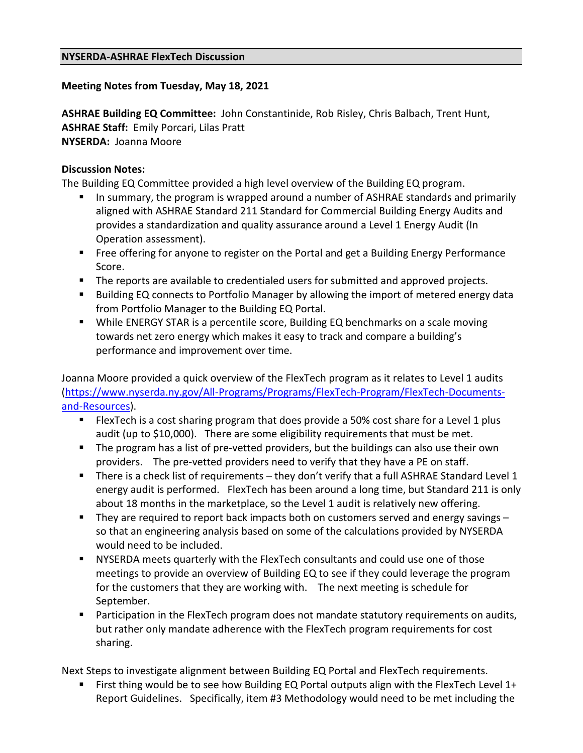# <span id="page-17-0"></span>**Meeting Notes from Tuesday, May 18, 2021**

**ASHRAE Building EQ Committee:** John Constantinide, Rob Risley, Chris Balbach, Trent Hunt, **ASHRAE Staff:** Emily Porcari, Lilas Pratt **NYSERDA:** Joanna Moore

## **Discussion Notes:**

The Building EQ Committee provided a high level overview of the Building EQ program.

- In summary, the program is wrapped around a number of ASHRAE standards and primarily aligned with ASHRAE Standard 211 Standard for Commercial Building Energy Audits and provides a standardization and quality assurance around a Level 1 Energy Audit (In Operation assessment).
- **Free offering for anyone to register on the Portal and get a Building Energy Performance** Score.
- The reports are available to credentialed users for submitted and approved projects.
- Building EQ connects to Portfolio Manager by allowing the import of metered energy data from Portfolio Manager to the Building EQ Portal.
- While ENERGY STAR is a percentile score, Building EQ benchmarks on a scale moving towards net zero energy which makes it easy to track and compare a building's performance and improvement over time.

Joanna Moore provided a quick overview of the FlexTech program as it relates to Level 1 audits [\(https://www.nyserda.ny.gov/All-Programs/Programs/FlexTech-Program/FlexTech-Documents](https://www.nyserda.ny.gov/All-Programs/Programs/FlexTech-Program/FlexTech-Documents-and-Resources)[and-Resources\)](https://www.nyserda.ny.gov/All-Programs/Programs/FlexTech-Program/FlexTech-Documents-and-Resources).

- **FILEXTECH** is a cost sharing program that does provide a 50% cost share for a Level 1 plus audit (up to \$10,000). There are some eligibility requirements that must be met.
- The program has a list of pre-vetted providers, but the buildings can also use their own providers. The pre-vetted providers need to verify that they have a PE on staff.
- There is a check list of requirements they don't verify that a full ASHRAE Standard Level 1 energy audit is performed. FlexTech has been around a long time, but Standard 211 is only about 18 months in the marketplace, so the Level 1 audit is relatively new offering.
- They are required to report back impacts both on customers served and energy savings so that an engineering analysis based on some of the calculations provided by NYSERDA would need to be included.
- NYSERDA meets quarterly with the FlexTech consultants and could use one of those meetings to provide an overview of Building EQ to see if they could leverage the program for the customers that they are working with. The next meeting is schedule for September.
- **Participation in the FlexTech program does not mandate statutory requirements on audits,** but rather only mandate adherence with the FlexTech program requirements for cost sharing.

Next Steps to investigate alignment between Building EQ Portal and FlexTech requirements.

First thing would be to see how Building EQ Portal outputs align with the FlexTech Level 1+ Report Guidelines. Specifically, item #3 Methodology would need to be met including the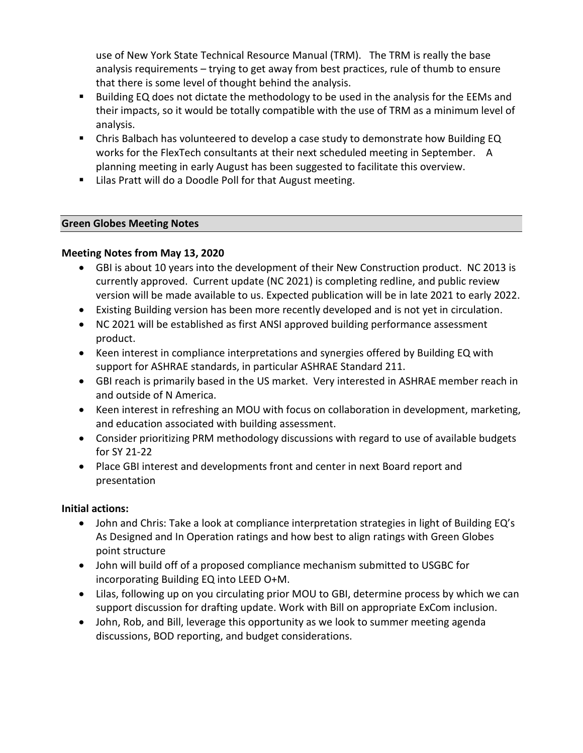use of New York State Technical Resource Manual (TRM). The TRM is really the base analysis requirements – trying to get away from best practices, rule of thumb to ensure that there is some level of thought behind the analysis.

- Building EQ does not dictate the methodology to be used in the analysis for the EEMs and their impacts, so it would be totally compatible with the use of TRM as a minimum level of analysis.
- Chris Balbach has volunteered to develop a case study to demonstrate how Building EQ works for the FlexTech consultants at their next scheduled meeting in September. A planning meeting in early August has been suggested to facilitate this overview.
- Lilas Pratt will do a Doodle Poll for that August meeting.

# <span id="page-18-0"></span>**Green Globes Meeting Notes**

# **Meeting Notes from May 13, 2020**

- GBI is about 10 years into the development of their New Construction product. NC 2013 is currently approved. Current update (NC 2021) is completing redline, and public review version will be made available to us. Expected publication will be in late 2021 to early 2022.
- Existing Building version has been more recently developed and is not yet in circulation.
- NC 2021 will be established as first ANSI approved building performance assessment product.
- Keen interest in compliance interpretations and synergies offered by Building EQ with support for ASHRAE standards, in particular ASHRAE Standard 211.
- GBI reach is primarily based in the US market. Very interested in ASHRAE member reach in and outside of N America.
- Keen interest in refreshing an MOU with focus on collaboration in development, marketing, and education associated with building assessment.
- Consider prioritizing PRM methodology discussions with regard to use of available budgets for SY 21-22
- Place GBI interest and developments front and center in next Board report and presentation

# **Initial actions:**

- John and Chris: Take a look at compliance interpretation strategies in light of Building EQ's As Designed and In Operation ratings and how best to align ratings with Green Globes point structure
- John will build off of a proposed compliance mechanism submitted to USGBC for incorporating Building EQ into LEED O+M.
- Lilas, following up on you circulating prior MOU to GBI, determine process by which we can support discussion for drafting update. Work with Bill on appropriate ExCom inclusion.
- John, Rob, and Bill, leverage this opportunity as we look to summer meeting agenda discussions, BOD reporting, and budget considerations.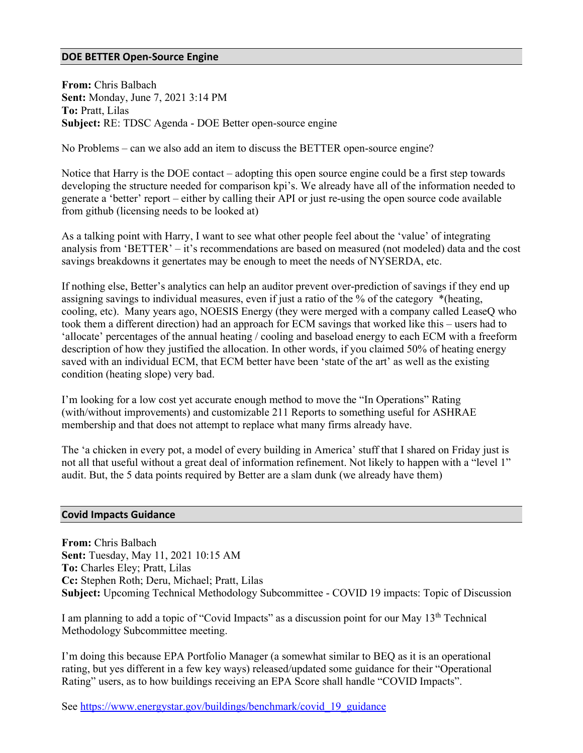#### <span id="page-19-0"></span>**DOE BETTER Open-Source Engine**

**From:** Chris Balbach **Sent:** Monday, June 7, 2021 3:14 PM **To:** Pratt, Lilas **Subject:** RE: TDSC Agenda - DOE Better open-source engine

No Problems – can we also add an item to discuss the BETTER open-source engine?

Notice that Harry is the DOE contact – adopting this open source engine could be a first step towards developing the structure needed for comparison kpi's. We already have all of the information needed to generate a 'better' report – either by calling their API or just re-using the open source code available from github (licensing needs to be looked at)

As a talking point with Harry, I want to see what other people feel about the 'value' of integrating analysis from 'BETTER' – it's recommendations are based on measured (not modeled) data and the cost savings breakdowns it genertates may be enough to meet the needs of NYSERDA, etc.

If nothing else, Better's analytics can help an auditor prevent over-prediction of savings if they end up assigning savings to individual measures, even if just a ratio of the % of the category \*(heating, cooling, etc). Many years ago, NOESIS Energy (they were merged with a company called LeaseQ who took them a different direction) had an approach for ECM savings that worked like this – users had to 'allocate' percentages of the annual heating / cooling and baseload energy to each ECM with a freeform description of how they justified the allocation. In other words, if you claimed 50% of heating energy saved with an individual ECM, that ECM better have been 'state of the art' as well as the existing condition (heating slope) very bad.

I'm looking for a low cost yet accurate enough method to move the "In Operations" Rating (with/without improvements) and customizable 211 Reports to something useful for ASHRAE membership and that does not attempt to replace what many firms already have.

The 'a chicken in every pot, a model of every building in America' stuff that I shared on Friday just is not all that useful without a great deal of information refinement. Not likely to happen with a "level 1" audit. But, the 5 data points required by Better are a slam dunk (we already have them)

#### <span id="page-19-1"></span>**Covid Impacts Guidance**

**From:** Chris Balbach **Sent:** Tuesday, May 11, 2021 10:15 AM **To:** Charles Eley; Pratt, Lilas **Cc:** Stephen Roth; Deru, Michael; Pratt, Lilas **Subject:** Upcoming Technical Methodology Subcommittee - COVID 19 impacts: Topic of Discussion

I am planning to add a topic of "Covid Impacts" as a discussion point for our May  $13<sup>th</sup>$  Technical Methodology Subcommittee meeting.

I'm doing this because EPA Portfolio Manager (a somewhat similar to BEQ as it is an operational rating, but yes different in a few key ways) released/updated some guidance for their "Operational Rating" users, as to how buildings receiving an EPA Score shall handle "COVID Impacts".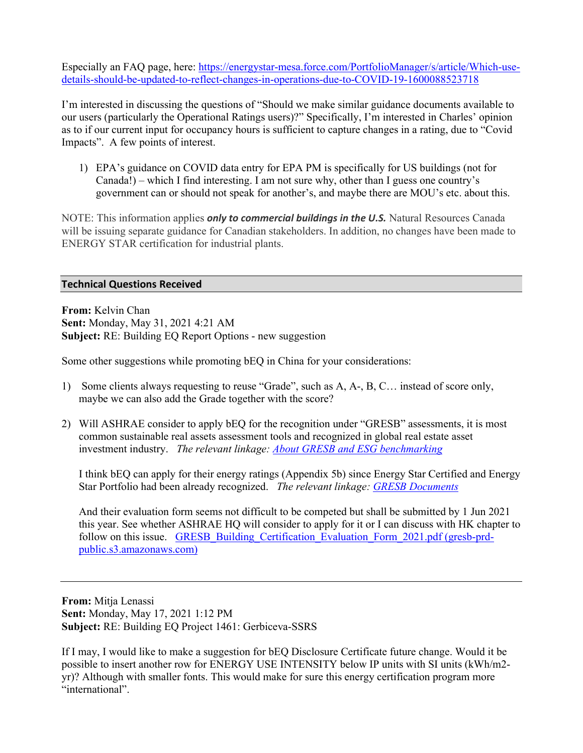Especially an FAQ page, here: [https://energystar-mesa.force.com/PortfolioManager/s/article/Which-use](https://energystar-mesa.force.com/PortfolioManager/s/article/Which-use-details-should-be-updated-to-reflect-changes-in-operations-due-to-COVID-19-1600088523718)[details-should-be-updated-to-reflect-changes-in-operations-due-to-COVID-19-1600088523718](https://energystar-mesa.force.com/PortfolioManager/s/article/Which-use-details-should-be-updated-to-reflect-changes-in-operations-due-to-COVID-19-1600088523718)

I'm interested in discussing the questions of "Should we make similar guidance documents available to our users (particularly the Operational Ratings users)?" Specifically, I'm interested in Charles' opinion as to if our current input for occupancy hours is sufficient to capture changes in a rating, due to "Covid Impacts". A few points of interest.

1) EPA's guidance on COVID data entry for EPA PM is specifically for US buildings (not for Canada!) – which I find interesting. I am not sure why, other than I guess one country's government can or should not speak for another's, and maybe there are MOU's etc. about this.

NOTE: This information applies *only to commercial buildings in the U.S.* Natural Resources Canada will be issuing separate guidance for Canadian stakeholders. In addition, no changes have been made to ENERGY STAR certification for industrial plants.

#### <span id="page-20-0"></span>**Technical Questions Received**

**From:** Kelvin Chan **Sent:** Monday, May 31, 2021 4:21 AM **Subject:** RE: Building EQ Report Options - new suggestion

Some other suggestions while promoting bEQ in China for your considerations:

- 1) Some clients always requesting to reuse "Grade", such as A, A-, B, C… instead of score only, maybe we can also add the Grade together with the score?
- 2) Will ASHRAE consider to apply bEQ for the recognition under "GRESB" assessments, it is most common sustainable real assets assessment tools and recognized in global real estate asset investment industry. *The relevant linkage: [About GRESB and ESG benchmarking](https://gresb.com/about/#do)*

I think bEQ can apply for their energy ratings (Appendix 5b) since Energy Star Certified and Energy Star Portfolio had been already recognized. *The relevant linkage: [GRESB Documents](https://documents.gresb.com/generated_files/real_estate/2021/real_estate/reference_guide/complete.html#estimation_methodology)*

And their evaluation form seems not difficult to be competed but shall be submitted by 1 Jun 2021 this year. See whether ASHRAE HQ will consider to apply for it or I can discuss with HK chapter to follow on this issue. [GRESB\\_Building\\_Certification\\_Evaluation\\_Form\\_2021.pdf \(gresb-prd](https://gresb-prd-public.s3.amazonaws.com/2020/GRESB_Building_Certification_Evaluation_Form_2021.pdf)[public.s3.amazonaws.com\)](https://gresb-prd-public.s3.amazonaws.com/2020/GRESB_Building_Certification_Evaluation_Form_2021.pdf)

**From:** Mitja Lenassi **Sent:** Monday, May 17, 2021 1:12 PM **Subject:** RE: Building EQ Project 1461: Gerbiceva-SSRS

If I may, I would like to make a suggestion for bEQ Disclosure Certificate future change. Would it be possible to insert another row for ENERGY USE INTENSITY below IP units with SI units (kWh/m2 yr)? Although with smaller fonts. This would make for sure this energy certification program more "international".